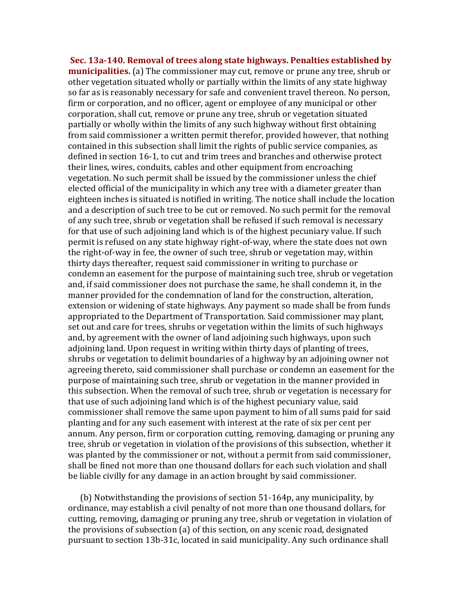**Sec. 13a-140. Removal of trees along state highways. Penalties established by municipalities.** (a) The commissioner may cut, remove or prune any tree, shrub or other vegetation situated wholly or partially within the limits of any state highway so far as is reasonably necessary for safe and convenient travel thereon. No person, firm or corporation, and no officer, agent or employee of any municipal or other corporation, shall cut, remove or prune any tree, shrub or vegetation situated partially or wholly within the limits of any such highway without first obtaining from said commissioner a written permit therefor, provided however, that nothing contained in this subsection shall limit the rights of public service companies, as defined in section 16-1, to cut and trim trees and branches and otherwise protect their lines, wires, conduits, cables and other equipment from encroaching vegetation. No such permit shall be issued by the commissioner unless the chief elected official of the municipality in which any tree with a diameter greater than eighteen inches is situated is notified in writing. The notice shall include the location and a description of such tree to be cut or removed. No such permit for the removal of any such tree, shrub or vegetation shall be refused if such removal is necessary for that use of such adjoining land which is of the highest pecuniary value. If such permit is refused on any state highway right-of-way, where the state does not own the right-of-way in fee, the owner of such tree, shrub or vegetation may, within thirty days thereafter, request said commissioner in writing to purchase or condemn an easement for the purpose of maintaining such tree, shrub or vegetation and, if said commissioner does not purchase the same, he shall condemn it, in the manner provided for the condemnation of land for the construction, alteration, extension or widening of state highways. Any payment so made shall be from funds appropriated to the Department of Transportation. Said commissioner may plant, set out and care for trees, shrubs or vegetation within the limits of such highways and, by agreement with the owner of land adjoining such highways, upon such adjoining land. Upon request in writing within thirty days of planting of trees, shrubs or vegetation to delimit boundaries of a highway by an adjoining owner not agreeing thereto, said commissioner shall purchase or condemn an easement for the purpose of maintaining such tree, shrub or vegetation in the manner provided in this subsection. When the removal of such tree, shrub or vegetation is necessary for that use of such adjoining land which is of the highest pecuniary value, said commissioner shall remove the same upon payment to him of all sums paid for said planting and for any such easement with interest at the rate of six per cent per annum. Any person, firm or corporation cutting, removing, damaging or pruning any tree, shrub or vegetation in violation of the provisions of this subsection, whether it was planted by the commissioner or not, without a permit from said commissioner. shall be fined not more than one thousand dollars for each such violation and shall be liable civilly for any damage in an action brought by said commissioner.

(b) Notwithstanding the provisions of section  $51-164p$ , any municipality, by ordinance, may establish a civil penalty of not more than one thousand dollars, for cutting, removing, damaging or pruning any tree, shrub or vegetation in violation of the provisions of subsection  $(a)$  of this section, on any scenic road, designated pursuant to section 13b-31c, located in said municipality. Any such ordinance shall